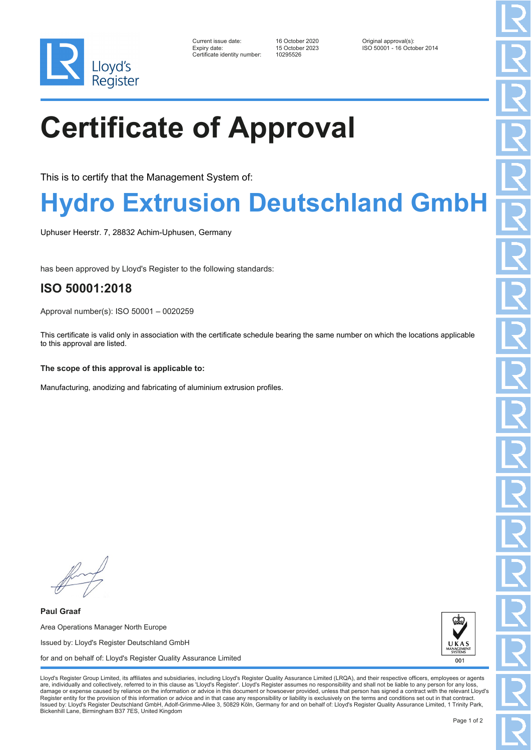

| Current issue date:         |  |
|-----------------------------|--|
| Expiry date:                |  |
| Certificate identity number |  |

Certificate identity number: 10295526

Current issue date: 16 October 2020 Original approval(s): Expiry date: 15 October 2023 ISO 50001 - 16 October 2014

# **Certificate of Approval**

This is to certify that the Management System of:

## **Hydro Extrusion Deutschland GmbH**

Uphuser Heerstr. 7, 28832 Achim-Uphusen, Germany

has been approved by Lloyd's Register to the following standards:

### **ISO 50001:2018**

Approval number(s): ISO 50001 – 0020259

This certificate is valid only in association with the certificate schedule bearing the same number on which the locations applicable to this approval are listed.

#### **The scope of this approval is applicable to:**

Manufacturing, anodizing and fabricating of aluminium extrusion profiles.

**Paul Graaf** Area Operations Manager North Europe Issued by: Lloyd's Register Deutschland GmbH for and on behalf of: Lloyd's Register Quality Assurance Limited



Lloyd's Register Group Limited, its affiliates and subsidiaries, including Lloyd's Register Quality Assurance Limited (LRQA), and their respective officers, employees or agents are, individually and collectively, referred to in this clause as 'Lloyd's Register'. Lloyd's Register assumes no responsibility and shall not be liable to any person for any los damage or expense caused by reliance on the information or advice in this document or howsoever provided, unless that person has signed a contract with the relevant Lloyd's<br>Register entity for the provision of this informa Issued by: Lloyd's Register Deutschland GmbH, Adolf-Grimme-Allee 3, 50829 Köln, Germany for and on behalf of: Lloyd's Register Quality Assurance Limited, 1 Trinity Park, Bickenhill Lane, Birmingham B37 7ES, United Kingdom